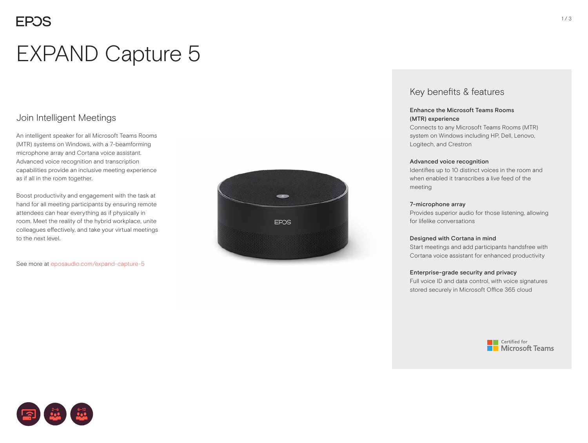# EXPAND Capture 5

## Join Intelligent Meetings

An intelligent speaker for all Microsoft Teams Rooms (MTR) systems on Windows, with a 7-beamforming microphone array and Cortana voice assistant. Advanced voice recognition and transcription capabilities provide an inclusive meeting experience as if all in the room together.

Boost productivity and engagement with the task at hand for all meeting participants by ensuring remote attendees can hear everything as if physically in room. Meet the reality of the hybrid workplace, unite colleagues effectively, and take your virtual meetings to the next level.

See more at eposaudio.com/expand-capture-5



### Key benefits & features

#### Enhance the Microsoft Teams Rooms (MTR) experience

Connects to any Microsoft Teams Rooms (MTR) system on Windows including HP, Dell, Lenovo, Logitech, and Crestron

#### Advanced voice recognition

Identifies up to 10 distinct voices in the room and when enabled it transcribes a live feed of the meeting

#### 7-microphone array

Provides superior audio for those listening, allowing for lifelike conversations

#### Designed with Cortana in mind

Start meetings and add participants handsfree with Cortana voice assistant for enhanced productivity

#### Enterprise-grade security and privacy

Full voice ID and data control, with voice signatures stored securely in Microsoft Office 365 cloud





 $1/3$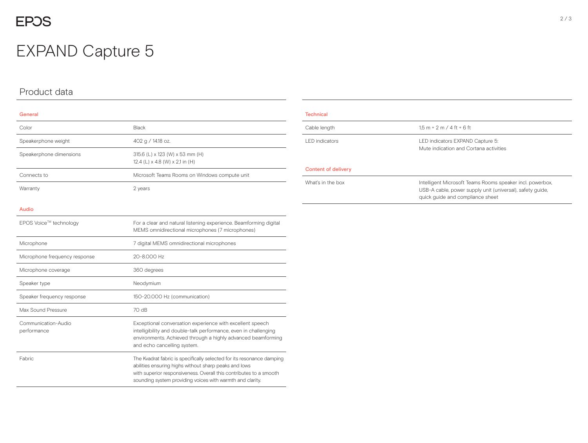## **EPOS**

## EXPAND Capture 5

### Product data

#### General

| Color                              | Black                                                                                                                                                                                                                                                             |  |
|------------------------------------|-------------------------------------------------------------------------------------------------------------------------------------------------------------------------------------------------------------------------------------------------------------------|--|
| Speakerphone weight                | 402 g / 14.18 oz.                                                                                                                                                                                                                                                 |  |
| Speakerphone dimensions            | 315.6 (L) x 123 (W) x 53 mm (H)<br>12.4 (L) $\times$ 4.8 (W) $\times$ 2,1 in (H)                                                                                                                                                                                  |  |
| Connects to                        | Microsoft Teams Rooms on Windows compute unit                                                                                                                                                                                                                     |  |
| Warranty                           | 2 years                                                                                                                                                                                                                                                           |  |
| <b>Audio</b>                       |                                                                                                                                                                                                                                                                   |  |
| EPOS Voice™ technology             | For a clear and natural listening experience. Beamforming digital<br>MEMS omnidirectional microphones (7 microphones)                                                                                                                                             |  |
| Microphone                         | 7 digital MEMS omnidirectional microphones                                                                                                                                                                                                                        |  |
| Microphone frequency response      | 20-8.000 Hz                                                                                                                                                                                                                                                       |  |
| Microphone coverage                | 360 degrees                                                                                                                                                                                                                                                       |  |
| Speaker type                       | Neodymium                                                                                                                                                                                                                                                         |  |
| Speaker frequency response         | 150-20.000 Hz (communication)                                                                                                                                                                                                                                     |  |
| Max Sound Pressure                 | 70 dB                                                                                                                                                                                                                                                             |  |
| Communication-Audio<br>performance | Exceptional conversation experience with excellent speech<br>intelligibility and double-talk performance, even in challenging<br>environments. Achieved through a highly advanced beamforming<br>and echo cancelling system.                                      |  |
| Fabric                             | The Kvadrat fabric is specifically selected for its resonance damping<br>abilities ensuring highs without sharp peaks and lows<br>with superior responsiveness. Overall this contributes to a smooth<br>sounding system providing voices with warmth and clarity. |  |

## **Technical** Cable length  $1,5 m + 2 m / 4 ft + 6 ft$ LED indicators LED indicators EXPAND Capture 5: Mute indication and Cortana activities Content of delivery What's in the box **Intelligent Microsoft Teams Rooms speaker incl. powerbox,** USB-A cable, power supply unit (universal), safety guide,

quick guide and compliance sheet